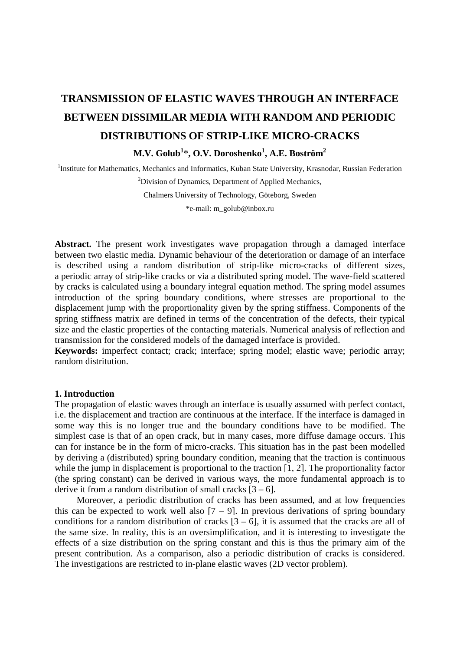# **TRANSMISSION OF ELASTIC WAVES THROUGH AN INTERFACE BETWEEN DISSIMILAR MEDIA WITH RANDOM AND PERIODIC DISTRIBUTIONS OF STRIP-LIKE MICRO-CRACKS M.V. Golub<sup>1</sup>** \***, O.V. Doroshenko1 , A.E. Boström2**

<sup>1</sup>Institute for Mathematics, Mechanics and Informatics, Kuban State University, Krasnodar, Russian Federation

<sup>2</sup>Division of Dynamics, Department of Applied Mechanics, Chalmers University of Technology, Göteborg, Sweden \*e-mail: m\_golub@inbox.ru

**Abstract.** The present work investigates wave propagation through a damaged interface between two elastic media. Dynamic behaviour of the deterioration or damage of an interface is described using a random distribution of strip-like micro-cracks of different sizes, a periodic array of strip-like cracks or via a distributed spring model. The wave-field scattered by cracks is calculated using a boundary integral equation method. The spring model assumes introduction of the spring boundary conditions, where stresses are proportional to the displacement jump with the proportionality given by the spring stiffness. Components of the spring stiffness matrix are defined in terms of the concentration of the defects, their typical size and the elastic properties of the contacting materials. Numerical analysis of reflection and transmission for the considered models of the damaged interface is provided.

**Keywords:** imperfect contact; crack; interface; spring model; elastic wave; periodic array; random distritution.

#### **1. Introduction**

The propagation of elastic waves through an interface is usually assumed with perfect contact, i.e. the displacement and traction are continuous at the interface. If the interface is damaged in some way this is no longer true and the boundary conditions have to be modified. The simplest case is that of an open crack, but in many cases, more diffuse damage occurs. This can for instance be in the form of micro-cracks. This situation has in the past been modelled by deriving a (distributed) spring boundary condition, meaning that the traction is continuous while the jump in displacement is proportional to the traction [1, 2]. The proportionality factor (the spring constant) can be derived in various ways, the more fundamental approach is to derive it from a random distribution of small cracks  $[3 - 6]$ .

Moreover, a periodic distribution of cracks has been assumed, and at low frequencies this can be expected to work well also  $[7 - 9]$ . In previous derivations of spring boundary conditions for a random distribution of cracks  $[3 - 6]$ , it is assumed that the cracks are all of the same size. In reality, this is an oversimplification, and it is interesting to investigate the effects of a size distribution on the spring constant and this is thus the primary aim of the present contribution. As a comparison, also a periodic distribution of cracks is considered. The investigations are restricted to in-plane elastic waves (2D vector problem).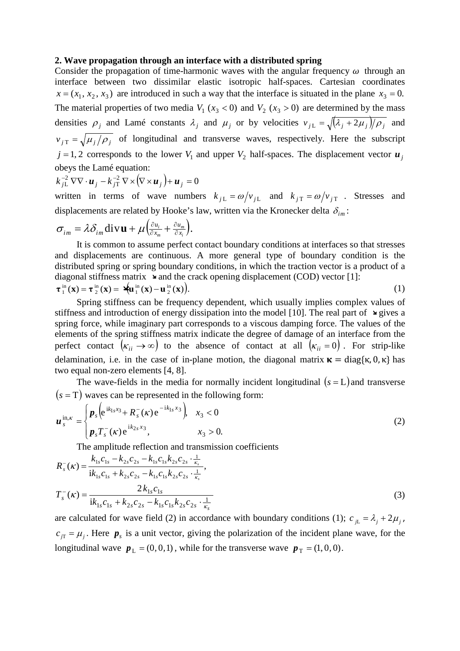## **2. Wave propagation through an interface with a distributed spring**

Consider the propagation of time-harmonic waves with the angular frequency  $\omega$  through an interface between two dissimilar elastic isotropic half-spaces. Cartesian coordinates  $x = (x_1, x_2, x_3)$  are introduced in such a way that the interface is situated in the plane  $x_3 = 0$ . The material properties of two media  $V_1(x_3 < 0)$  and  $V_2(x_3 > 0)$  are determined by the mass densities  $\rho_j$  and Lamé constants  $\lambda_j$  and  $\mu_j$  or by velocities  $v_{jL} = \sqrt{(\lambda_j + 2\mu_j)/\rho_j}$  and  $v_{jT} = \sqrt{\mu_j/\rho_j}$  of longitudinal and transverse waves, respectively. Here the subscript  $j = 1, 2$  corresponds to the lower  $V_1$  and upper  $V_2$  half-spaces. The displacement vector  $u_j$ obeys the Lamé equation:

$$
k_{jL}^{-2} \nabla \nabla \cdot \boldsymbol{u}_j - k_{jT}^{-2} \nabla \times (\nabla \times \boldsymbol{u}_j) + \boldsymbol{u}_j = 0
$$

written in terms of wave numbers  $k_{jL} = \omega / v_{jL}$  and  $k_{jT} = \omega / v_{jT}$ . Stresses and displacements are related by Hooke's law, written via the Kronecker delta  $\delta_{im}$ :

$$
\sigma_{im} = \lambda \delta_{im} \operatorname{div} \mathbf{u} + \mu \left( \frac{\partial u_i}{\partial x_m} + \frac{\partial u_m}{\partial x_i} \right).
$$

It is common to assume perfect contact boundary conditions at interfaces so that stresses and displacements are continuous. A more general type of boundary condition is the distributed spring or spring boundary conditions, in which the traction vector is a product of a diagonal stiffness matrix  $\rightarrow$  and the crack opening displacement (COD) vector [1]:

$$
\boldsymbol{\tau}_1^{\text{in}}(\mathbf{x}) = \boldsymbol{\tau}_2^{\text{in}}(\mathbf{x}) = \mathbf{A}^{\text{in}}(\mathbf{x}) - \mathbf{u}_2^{\text{in}}(\mathbf{x})\tag{1}
$$

Spring stiffness can be frequency dependent, which usually implies complex values of stiffness and introduction of energy dissipation into the model [10]. The real part of  $\rightarrow$  gives a spring force, while imaginary part corresponds to a viscous damping force. The values of the elements of the spring stiffness matrix indicate the degree of damage of an interface from the perfect contact  $(\kappa_{ii} \rightarrow \infty)$  to the absence of contact at all  $(\kappa_{ii} = 0)$ . For strip-like delamination, i.e. in the case of in-plane motion, the diagonal matrix  $\kappa = \text{diag}\{\kappa, 0, \kappa\}$  has two equal non-zero elements [4, 8].

The wave-fields in the media for normally incident longitudinal  $(s = L)$  and transverse  $(s = T)$  waves can be represented in the following form:

$$
\boldsymbol{u}_{s}^{\text{in},\kappa} = \begin{cases} \boldsymbol{p}_{s} \Big( e^{\mathrm{i}k_{1s}x_{3}} + \boldsymbol{R}_{s}^{-}(\kappa) e^{-\mathrm{i}k_{1s}x_{3}} \Big) & x_{3} < 0 \\ \boldsymbol{p}_{s} T_{s}^{-}(\kappa) e^{\mathrm{i}k_{2s}x_{3}}, & x_{3} > 0. \end{cases}
$$
(2)

The amplitude reflection and transmission coefficients

$$
R_s^-(\kappa) = \frac{k_{1s}c_{1s} - k_{2s}c_{2s} - k_{1s}c_{1s}k_{2s}c_{2s} \cdot \frac{1}{\kappa_s}}{ik_{1s}c_{1s} + k_{2s}c_{2s} - k_{1s}c_{1s}k_{2s}c_{2s} \cdot \frac{1}{\kappa_s}},
$$
  
\n
$$
T_s^-(\kappa) = \frac{2k_{1s}c_{1s}}{ik_{1s}c_{1s} + k_{2s}c_{2s} - k_{1s}c_{1s}k_{2s}c_{2s} \cdot \frac{1}{\kappa_s}}
$$
\n(3)

are calculated for wave field (2) in accordance with boundary conditions (1);  $c_{\mu} = \lambda_i + 2\mu_i$ ,  $c_{\overline{\mu}} = \mu_i$ . Here  $p_s$  is a unit vector, giving the polarization of the incident plane wave, for the longitudinal wave  $p_L = (0, 0, 1)$ , while for the transverse wave  $p_T = (1, 0, 0)$ .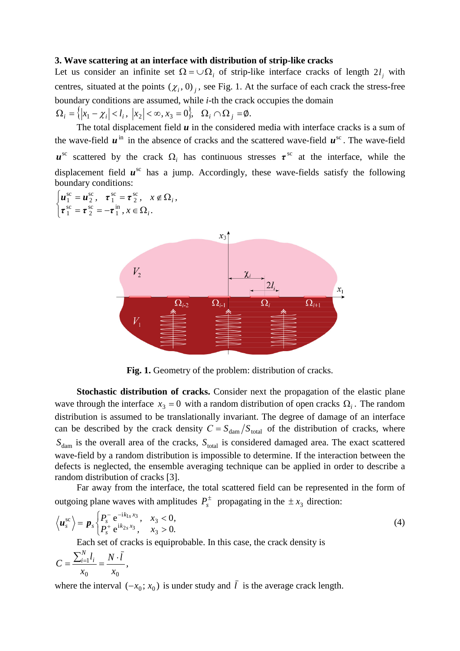#### **3. Wave scattering at an interface with distribution of strip-like cracks**

Let us consider an infinite set  $\Omega = \cup \Omega_i$  of strip-like interface cracks of length  $2l_i$  with centres, situated at the points  $(\chi_i, 0)_i$ , see Fig. 1. At the surface of each crack the stress-free boundary conditions are assumed, while *i*-th the crack occupies the domain  $\Omega_i = \left\{ |x_1 - \chi_i| < l_i, \ |x_2| < \infty, x_3 = 0 \right\}, \ \ \Omega_i \cap \Omega_j = \emptyset.$ 

The total displacement field *u* in the considered media with interface cracks is a sum of the wave-field  $\boldsymbol{u}^{\text{in}}$  in the absence of cracks and the scattered wave-field  $\boldsymbol{u}^{\text{sc}}$ . The wave-field  $u^{\rm sc}$  scattered by the crack  $\Omega_i$  has continuous stresses  $\tau^{\rm sc}$  at the interface, while the displacement field  $u^{\text{sc}}$  has a jump. Accordingly, these wave-fields satisfy the following boundary conditions:

 $\overline{\mathcal{L}}$ ↑  $\begin{array}{c} \begin{array}{c} \end{array} \end{array}$  $\boldsymbol{\tau}^{\mathrm{sc}}_{\mathcal{R}}=-\boldsymbol{\tau}^{\mathrm{in}}_{\mathcal{R}},$   $x\in\Omega$  $=\boldsymbol{u}_{2}^{\mathrm{sc}},\quad \boldsymbol{\tau}_{1}^{\mathrm{sc}}=\boldsymbol{\tau}_{2}^{\mathrm{sc}},\quad x\!\notin\!\Omega$  $x \in \Omega_i$ .  $\tau_1^{\text{sc}} = \tau_2^{\text{sc}}, \quad x \notin \Omega_i,$ *i i* in 1 sc 2 sc 1 sc 2 sc 1 sc 2 sc 1  $\tau$ <sup>sc</sup> =  $\tau$ <sup>sc</sup><sub>2</sub> =  $-\tau$  $u_1^{\rm sc} = u_2^{\rm sc}, \quad \tau_1^{\rm sc} = \tau$ 



**Fig. 1.** Geometry of the problem: distribution of cracks.

**Stochastic distribution of cracks.** Consider next the propagation of the elastic plane wave through the interface  $x_3 = 0$  with a random distribution of open cracks  $\Omega_i$ . The random distribution is assumed to be translationally invariant. The degree of damage of an interface can be described by the crack density  $C = S_{\text{dam}}/S_{\text{total}}$  of the distribution of cracks, where  $S_{\text{dam}}$  is the overall area of the cracks,  $S_{\text{total}}$  is considered damaged area. The exact scattered wave-field by a random distribution is impossible to determine. If the interaction between the defects is neglected, the ensemble averaging technique can be applied in order to describe a random distribution of cracks [3].

Far away from the interface, the total scattered field can be represented in the form of outgoing plane waves with amplitudes  $P_s^{\pm}$  propagating in the  $\pm x_3$  direction:

$$
\left\langle \boldsymbol{u}_{s}^{\text{sc}}\right\rangle =\boldsymbol{p}_{s}\begin{cases} P_{s}^{-} e^{-ik_{1s}x_{3}}, & x_{3} < 0, \\ P_{s}^{+} e^{ik_{2s}x_{3}}, & x_{3} > 0. \end{cases}
$$
\n(4)

Each set of cracks is equiprobable. In this case, the crack density is

$$
C = \frac{\sum_{i=1}^{N} l_i}{x_0} = \frac{N \cdot \bar{l}}{x_0},
$$

where the interval  $(-x_0; x_0)$  is under study and  $\overline{l}$  is the average crack length.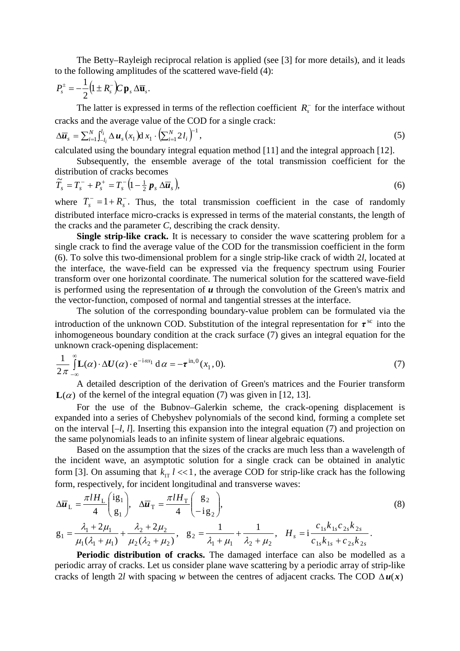Transmission of elastic waves through an interface between dissimilar media with random and periodic... 55

The Betty–Rayleigh reciprocal relation is applied (see [3] for more details), and it leads to the following amplitudes of the scattered wave-field (4):

$$
P_s^{\pm}=-\frac{1}{2}\big(1\pm R_s^-\big)\!C\,\mathbf{p}_s\,\Delta\overline{\mathbf{u}}_s.
$$

The latter is expressed in terms of the reflection coefficient  $R_{\rm s}$  for the interface without cracks and the average value of the COD for a single crack:

$$
\Delta \overline{\boldsymbol{u}}_s = \sum_{i=1}^N \int_{-l_i}^{l_i} \Delta \boldsymbol{u}_s \left( x_1 \right) \mathrm{d} x_1 \cdot \left( \sum_{i=1}^N 2 l_i \right)^{-1}, \tag{5}
$$

calculated using the boundary integral equation method [11] and the integral approach [12].

Subsequently, the ensemble average of the total transmission coefficient for the distribution of cracks becomes

$$
\widetilde{T}_s = T_s^- + P_s^+ = T_s^- \left( 1 - \frac{1}{2} \, \boldsymbol{p}_s \, \Delta \overline{\boldsymbol{u}}_s \right),\tag{6}
$$

where  $T_s^- = 1 + R_s^-$ . Thus, the total transmission coefficient in the case of randomly distributed interface micro-cracks is expressed in terms of the material constants, the length of the cracks and the parameter *C*, describing the crack density.

**Single strip-like crack.** It is necessary to consider the wave scattering problem for a single crack to find the average value of the COD for the transmission coefficient in the form (6). To solve this two-dimensional problem for a single strip-like crack of width 2*l*, located at the interface, the wave-field can be expressed via the frequency spectrum using Fourier transform over one horizontal coordinate. The numerical solution for the scattered wave-field is performed using the representation of *u* through the convolution of the Green's matrix and the vector-function, composed of normal and tangential stresses at the interface.

The solution of the corresponding boundary-value problem can be formulated via the introduction of the unknown COD. Substitution of the integral representation for  $\tau^{\rm sc}$  into the inhomogeneous boundary condition at the crack surface (7) gives an integral equation for the unknown crack-opening displacement:

$$
\frac{1}{2\pi} \int_{-\infty}^{\infty} \mathbf{L}(\alpha) \cdot \Delta \mathbf{U}(\alpha) \cdot e^{-i\alpha x_1} d\alpha = -\tau^{\text{in},0}(x_1, 0). \tag{7}
$$

A detailed description of the derivation of Green's matrices and the Fourier transform  $\mathbf{L}(\alpha)$  of the kernel of the integral equation (7) was given in [12, 13].

For the use of the Bubnov–Galerkin scheme, the crack-opening displacement is expanded into a series of Chebyshev polynomials of the second kind, forming a complete set on the interval [*–l, l*]. Inserting this expansion into the integral equation (7) and projection on the same polynomials leads to an infinite system of linear algebraic equations.

Based on the assumption that the sizes of the cracks are much less than a wavelength of the incident wave, an asymptotic solution for a single crack can be obtained in analytic form [3]. On assuming that  $k_{\text{IT}}$   $l \ll 1$ , the average COD for strip-like crack has the following form, respectively, for incident longitudinal and transverse waves:

$$
\Delta \overline{u}_{\rm L} = \frac{\pi l H_{\rm L}}{4} \begin{pmatrix} \mathrm{i}g_1 \\ g_1 \end{pmatrix}, \quad \Delta \overline{u}_{\rm T} = \frac{\pi l H_{\rm T}}{4} \begin{pmatrix} g_2 \\ -\mathrm{i}g_2 \end{pmatrix},
$$
\n
$$
\lambda + 2 u_{\rm L} = \lambda + 2 u_{\rm L} = \lambda + 2 u_{\rm L} = \frac{1}{4} \begin{pmatrix} 1 & 1 \\ 1 & 1 \end{pmatrix}, \quad \lambda = \frac{c_{11} k_{12} c_{23} k_{23}}{4}.
$$
\n(8)

$$
g_1 = \frac{\lambda_1 + 2\mu_1}{\mu_1(\lambda_1 + \mu_1)} + \frac{\lambda_2 + 2\mu_2}{\mu_2(\lambda_2 + \mu_2)}, \quad g_2 = \frac{1}{\lambda_1 + \mu_1} + \frac{1}{\lambda_2 + \mu_2}, \quad H_s = i \frac{c_{1s} k_{1s} c_{2s} k_{2s}}{c_{1s} k_{1s} + c_{2s} k_{2s}}.
$$

**Periodic distribution of cracks.** The damaged interface can also be modelled as a periodic array of cracks. Let us consider plane wave scattering by a periodic array of strip-like cracks of length 2*l* with spacing *w* between the centres of adjacent cracks. The COD  $\Delta u(x)$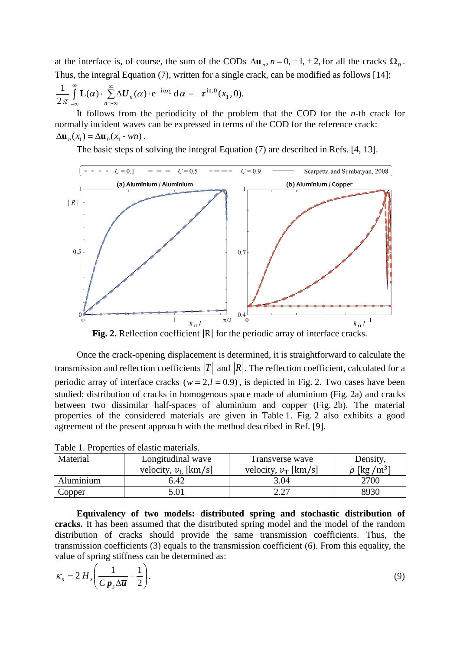at the interface is, of course, the sum of the CODs  $\Delta \mathbf{u}_n$ ,  $n = 0, \pm 1, \pm 2$ , for all the cracks  $\Omega_n$ . Thus, the integral Equation (7), written for a single crack, can be modified as follows [14]:

$$
\frac{1}{2\pi}\int_{-\infty}^{\infty}\mathbf{L}(\alpha)\cdot\sum_{n=-\infty}^{\infty}\Delta\mathbf{U}_n(\alpha)\cdot e^{-i\alpha x_1}\,d\alpha=-\tau^{\text{in},0}(x_1,0).
$$

It follows from the periodicity of the problem that the COD for the *n-*th crack for normally incident waves can be expressed in terms of the COD for the reference crack:  $\Delta$ **u**<sub>*n*</sub>( $x$ <sub>1</sub>) =  $\Delta$ **u**<sub>0</sub>( $x$ <sub>1</sub> - *wn*).

The basic steps of solving the integral Equation (7) are described in Refs. [4, 13].



Fig. 2. Reflection coefficient  $|R|$  for the periodic array of interface cracks.

Once the crack-opening displacement is determined, it is straightforward to calculate the transmission and reflection coefficients  $|T|$  and  $|R|$ . The reflection coefficient, calculated for a periodic array of interface cracks ( $w = 2, l = 0.9$ ), is depicted in Fig. 2. Two cases have been studied: distribution of cracks in homogenous space made of aluminium (Fig. 2a) and cracks between two dissimilar half-spaces of aluminium and copper (Fig. 2b). The material properties of the considered materials are given in Table 1. Fig. 2 also exhibits a good agreement of the present approach with the method described in Ref. [9].

| Tuoto 1. I Todottios of chastic materials. |                        |                        |                              |
|--------------------------------------------|------------------------|------------------------|------------------------------|
| Material                                   | Longitudinal wave      | Transverse wave        | Density,                     |
|                                            | velocity, $v_L$ [km/s] | velocity, $v_T$ [km/s] | $\rho$ [kg /m <sup>3</sup> ] |
| Aluminium                                  | 6.42                   | 3.04                   | 2700                         |
| Copper                                     | 5.01                   | 2.27                   | 8930                         |

**Equivalency of two models: distributed spring and stochastic distribution of cracks.** It has been assumed that the distributed spring model and the model of the random distribution of cracks should provide the same transmission coefficients. Thus, the transmission coefficients (3) equals to the transmission coefficient (6). From this equality, the value of spring stiffness can be determined as:

$$
\kappa_s = 2 H_s \left( \frac{1}{C p_s \Delta \overline{u}} - \frac{1}{2} \right). \tag{9}
$$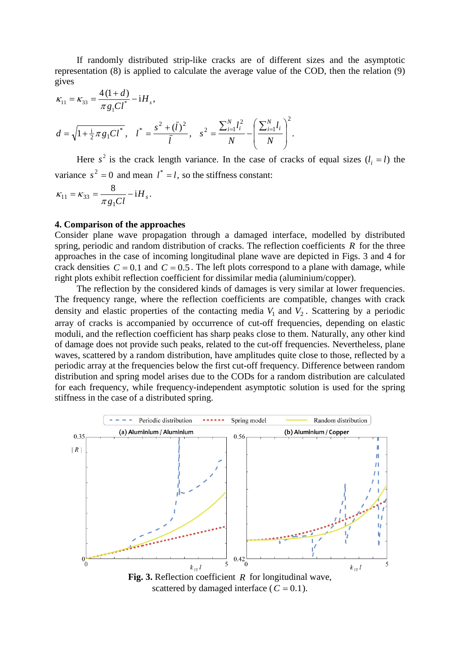Transmission of elastic waves through an interface between dissimilar media with random and periodic... 57

If randomly distributed strip-like cracks are of different sizes and the asymptotic representation (8) is applied to calculate the average value of the COD, then the relation (9) gives

$$
\begin{aligned} \kappa_{11} &= \kappa_{33} = \frac{4\,(1+d)}{\pi\,g_1\,l^*} - iH_s, \\ d &= \sqrt{1 + \frac{i}{2}\,\pi\,g_1\,l^*}, \quad l^* = \frac{s^2 + (\bar{l})^2}{\bar{l}}, \quad s^2 = \frac{\sum_{i=1}^N l_i^2}{N} - \left(\frac{\sum_{i=1}^N l_i}{N}\right)^2. \end{aligned}
$$

Here  $s^2$  is the crack length variance. In the case of cracks of equal sizes  $(l_i = l)$  the variance  $s^2 = 0$  and mean  $l^* = l$ , so the stiffness constant:

$$
\kappa_{11} = \kappa_{33} = \frac{8}{\pi g_1 C l} - i H_s.
$$

## **4. Comparison of the approaches**

Consider plane wave propagation through a damaged interface, modelled by distributed spring, periodic and random distribution of cracks. The reflection coefficients *R* for the three approaches in the case of incoming longitudinal plane wave are depicted in Figs. 3 and 4 for crack densities  $C = 0.1$  and  $C = 0.5$ . The left plots correspond to a plane with damage, while right plots exhibit reflection coefficient for dissimilar media (aluminium/copper).

The reflection by the considered kinds of damages is very similar at lower frequencies. The frequency range, where the reflection coefficients are compatible, changes with crack density and elastic properties of the contacting media  $V_1$  and  $V_2$ . Scattering by a periodic array of cracks is accompanied by occurrence of cut-off frequencies, depending on elastic moduli, and the reflection coefficient has sharp peaks close to them. Naturally, any other kind of damage does not provide such peaks, related to the cut-off frequencies. Nevertheless, plane waves, scattered by a random distribution, have amplitudes quite close to those, reflected by a periodic array at the frequencies below the first cut-off frequency. Difference between random distribution and spring model arises due to the CODs for a random distribution are calculated for each frequency, while frequency-independent asymptotic solution is used for the spring stiffness in the case of a distributed spring.



scattered by damaged interface ( $C = 0.1$ ).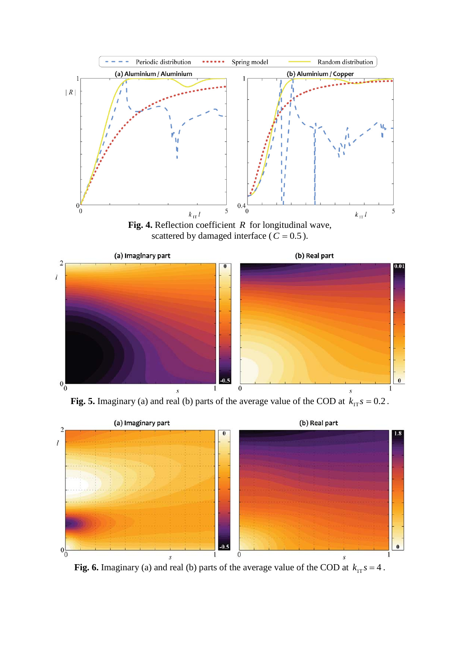



**Fig. 5.** Imaginary (a) and real (b) parts of the average value of the COD at  $k_{1T} s = 0.2$ .



**Fig. 6.** Imaginary (a) and real (b) parts of the average value of the COD at  $k_{1T} s = 4$ .